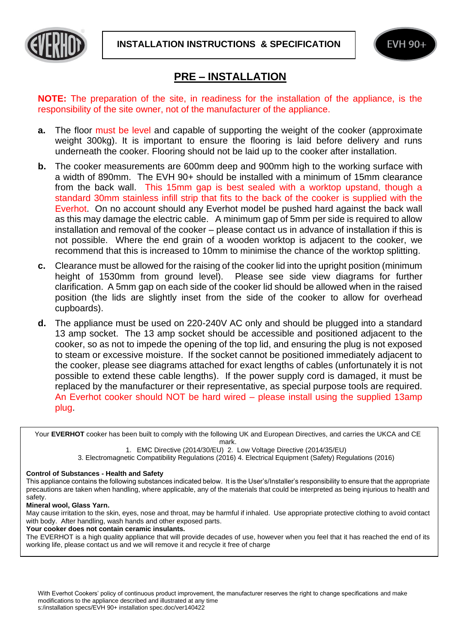



# **PRE – INSTALLATION**

**NOTE:** The preparation of the site, in readiness for the installation of the appliance, is the responsibility of the site owner, not of the manufacturer of the appliance.

- **a.** The floor must be level and capable of supporting the weight of the cooker (approximate weight 300kg). It is important to ensure the flooring is laid before delivery and runs underneath the cooker. Flooring should not be laid up to the cooker after installation.
- **b.** The cooker measurements are 600mm deep and 900mm high to the working surface with a width of 890mm. The EVH 90+ should be installed with a minimum of 15mm clearance from the back wall. This 15mm gap is best sealed with a worktop upstand, though a standard 30mm stainless infill strip that fits to the back of the cooker is supplied with the Everhot. On no account should any Everhot model be pushed hard against the back wall as this may damage the electric cable. A minimum gap of 5mm per side is required to allow installation and removal of the cooker – please contact us in advance of installation if this is not possible. Where the end grain of a wooden worktop is adjacent to the cooker, we recommend that this is increased to 10mm to minimise the chance of the worktop splitting.
- **c.** Clearance must be allowed for the raising of the cooker lid into the upright position (minimum height of 1530mm from ground level). Please see side view diagrams for further clarification. A 5mm gap on each side of the cooker lid should be allowed when in the raised position (the lids are slightly inset from the side of the cooker to allow for overhead cupboards).
- **d.** The appliance must be used on 220-240V AC only and should be plugged into a standard 13 amp socket. The 13 amp socket should be accessible and positioned adjacent to the cooker, so as not to impede the opening of the top lid, and ensuring the plug is not exposed to steam or excessive moisture. If the socket cannot be positioned immediately adjacent to the cooker, please see diagrams attached for exact lengths of cables (unfortunately it is not possible to extend these cable lengths). If the power supply cord is damaged, it must be replaced by the manufacturer or their representative, as special purpose tools are required. An Everhot cooker should NOT be hard wired – please install using the supplied 13amp plug.

Your **EVERHOT** cooker has been built to comply with the following UK and European Directives, and carries the UKCA and CE mark.

1. EMC Directive (2014/30/EU) 2. Low Voltage Directive (2014/35/EU)

3. Electromagnetic Compatibility Regulations (2016) 4. Electrical Equipment (Safety) Regulations (2016)

### **Control of Substances - Health and Safety**

This appliance contains the following substances indicated below. It is the User's/Installer's responsibility to ensure that the appropriate precautions are taken when handling, where applicable, any of the materials that could be interpreted as being injurious to health and safety.

### **Mineral wool, Glass Yarn.**

May cause irritation to the skin, eyes, nose and throat, may be harmful if inhaled. Use appropriate protective clothing to avoid contact with body. After handling, wash hands and other exposed parts.

### **Your cooker does not contain ceramic insulants.**

The EVERHOT is a high quality appliance that will provide decades of use, however when you feel that it has reached the end of its working life, please contact us and we will remove it and recycle it free of charge